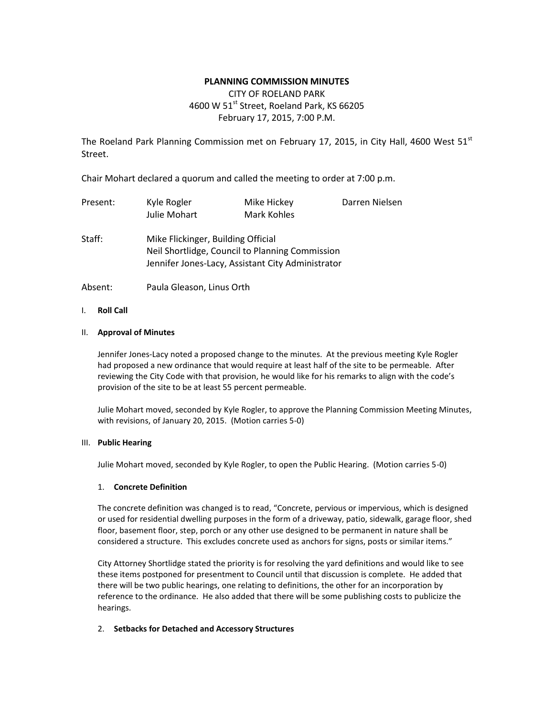# **PLANNING COMMISSION MINUTES**

CITY OF ROELAND PARK 4600 W 51st Street, Roeland Park, KS 66205 February 17, 2015, 7:00 P.M.

The Roeland Park Planning Commission met on February 17, 2015, in City Hall, 4600 West  $51^{st}$ Street.

Chair Mohart declared a quorum and called the meeting to order at 7:00 p.m.

| Present: | Kyle Rogler<br>Julie Mohart        | Mike Hickey<br>Mark Kohles | Darren Nielsen |
|----------|------------------------------------|----------------------------|----------------|
| Staff:   | Mike Flickinger, Building Official |                            |                |

Neil Shortlidge, Council to Planning Commission Jennifer Jones-Lacy, Assistant City Administrator

- Absent: Paula Gleason, Linus Orth
- I. **Roll Call**

#### II. **Approval of Minutes**

Jennifer Jones-Lacy noted a proposed change to the minutes. At the previous meeting Kyle Rogler had proposed a new ordinance that would require at least half of the site to be permeable. After reviewing the City Code with that provision, he would like for his remarks to align with the code's provision of the site to be at least 55 percent permeable.

Julie Mohart moved, seconded by Kyle Rogler, to approve the Planning Commission Meeting Minutes, with revisions, of January 20, 2015. (Motion carries 5-0)

#### III. **Public Hearing**

Julie Mohart moved, seconded by Kyle Rogler, to open the Public Hearing. (Motion carries 5-0)

#### 1. **Concrete Definition**

The concrete definition was changed is to read, "Concrete, pervious or impervious, which is designed or used for residential dwelling purposes in the form of a driveway, patio, sidewalk, garage floor, shed floor, basement floor, step, porch or any other use designed to be permanent in nature shall be considered a structure. This excludes concrete used as anchors for signs, posts or similar items."

City Attorney Shortlidge stated the priority is for resolving the yard definitions and would like to see these items postponed for presentment to Council until that discussion is complete. He added that there will be two public hearings, one relating to definitions, the other for an incorporation by reference to the ordinance. He also added that there will be some publishing costs to publicize the hearings.

## 2. **Setbacks for Detached and Accessory Structures**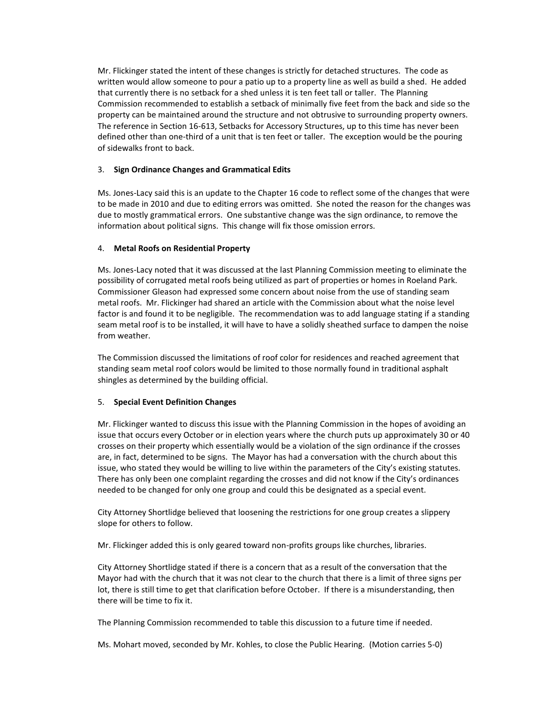Mr. Flickinger stated the intent of these changes is strictly for detached structures. The code as written would allow someone to pour a patio up to a property line as well as build a shed. He added that currently there is no setback for a shed unless it is ten feet tall or taller. The Planning Commission recommended to establish a setback of minimally five feet from the back and side so the property can be maintained around the structure and not obtrusive to surrounding property owners. The reference in Section 16-613, Setbacks for Accessory Structures, up to this time has never been defined other than one-third of a unit that is ten feet or taller. The exception would be the pouring of sidewalks front to back.

# 3. **Sign Ordinance Changes and Grammatical Edits**

Ms. Jones-Lacy said this is an update to the Chapter 16 code to reflect some of the changes that were to be made in 2010 and due to editing errors was omitted. She noted the reason for the changes was due to mostly grammatical errors. One substantive change was the sign ordinance, to remove the information about political signs. This change will fix those omission errors.

# 4. **Metal Roofs on Residential Property**

Ms. Jones-Lacy noted that it was discussed at the last Planning Commission meeting to eliminate the possibility of corrugated metal roofs being utilized as part of properties or homes in Roeland Park. Commissioner Gleason had expressed some concern about noise from the use of standing seam metal roofs. Mr. Flickinger had shared an article with the Commission about what the noise level factor is and found it to be negligible. The recommendation was to add language stating if a standing seam metal roof is to be installed, it will have to have a solidly sheathed surface to dampen the noise from weather.

The Commission discussed the limitations of roof color for residences and reached agreement that standing seam metal roof colors would be limited to those normally found in traditional asphalt shingles as determined by the building official.

## 5. **Special Event Definition Changes**

Mr. Flickinger wanted to discuss this issue with the Planning Commission in the hopes of avoiding an issue that occurs every October or in election years where the church puts up approximately 30 or 40 crosses on their property which essentially would be a violation of the sign ordinance if the crosses are, in fact, determined to be signs. The Mayor has had a conversation with the church about this issue, who stated they would be willing to live within the parameters of the City's existing statutes. There has only been one complaint regarding the crosses and did not know if the City's ordinances needed to be changed for only one group and could this be designated as a special event.

City Attorney Shortlidge believed that loosening the restrictions for one group creates a slippery slope for others to follow.

Mr. Flickinger added this is only geared toward non-profits groups like churches, libraries.

City Attorney Shortlidge stated if there is a concern that as a result of the conversation that the Mayor had with the church that it was not clear to the church that there is a limit of three signs per lot, there is still time to get that clarification before October. If there is a misunderstanding, then there will be time to fix it.

The Planning Commission recommended to table this discussion to a future time if needed.

Ms. Mohart moved, seconded by Mr. Kohles, to close the Public Hearing. (Motion carries 5-0)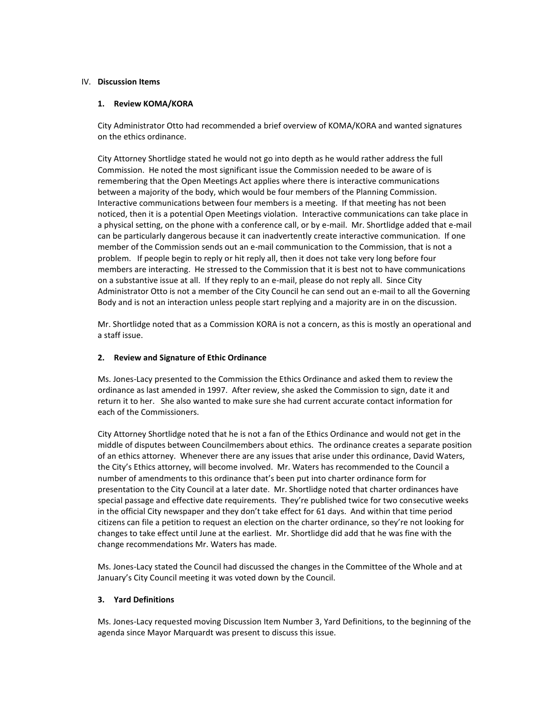### IV. **Discussion Items**

## **1. Review KOMA/KORA**

City Administrator Otto had recommended a brief overview of KOMA/KORA and wanted signatures on the ethics ordinance.

City Attorney Shortlidge stated he would not go into depth as he would rather address the full Commission. He noted the most significant issue the Commission needed to be aware of is remembering that the Open Meetings Act applies where there is interactive communications between a majority of the body, which would be four members of the Planning Commission. Interactive communications between four members is a meeting. If that meeting has not been noticed, then it is a potential Open Meetings violation. Interactive communications can take place in a physical setting, on the phone with a conference call, or by e-mail. Mr. Shortlidge added that e-mail can be particularly dangerous because it can inadvertently create interactive communication. If one member of the Commission sends out an e-mail communication to the Commission, that is not a problem. If people begin to reply or hit reply all, then it does not take very long before four members are interacting. He stressed to the Commission that it is best not to have communications on a substantive issue at all. If they reply to an e-mail, please do not reply all. Since City Administrator Otto is not a member of the City Council he can send out an e-mail to all the Governing Body and is not an interaction unless people start replying and a majority are in on the discussion.

Mr. Shortlidge noted that as a Commission KORA is not a concern, as this is mostly an operational and a staff issue.

## **2. Review and Signature of Ethic Ordinance**

Ms. Jones-Lacy presented to the Commission the Ethics Ordinance and asked them to review the ordinance as last amended in 1997. After review, she asked the Commission to sign, date it and return it to her. She also wanted to make sure she had current accurate contact information for each of the Commissioners.

City Attorney Shortlidge noted that he is not a fan of the Ethics Ordinance and would not get in the middle of disputes between Councilmembers about ethics. The ordinance creates a separate position of an ethics attorney. Whenever there are any issues that arise under this ordinance, David Waters, the City's Ethics attorney, will become involved. Mr. Waters has recommended to the Council a number of amendments to this ordinance that's been put into charter ordinance form for presentation to the City Council at a later date. Mr. Shortlidge noted that charter ordinances have special passage and effective date requirements. They're published twice for two consecutive weeks in the official City newspaper and they don't take effect for 61 days. And within that time period citizens can file a petition to request an election on the charter ordinance, so they're not looking for changes to take effect until June at the earliest. Mr. Shortlidge did add that he was fine with the change recommendations Mr. Waters has made.

Ms. Jones-Lacy stated the Council had discussed the changes in the Committee of the Whole and at January's City Council meeting it was voted down by the Council.

#### **3. Yard Definitions**

Ms. Jones-Lacy requested moving Discussion Item Number 3, Yard Definitions, to the beginning of the agenda since Mayor Marquardt was present to discuss this issue.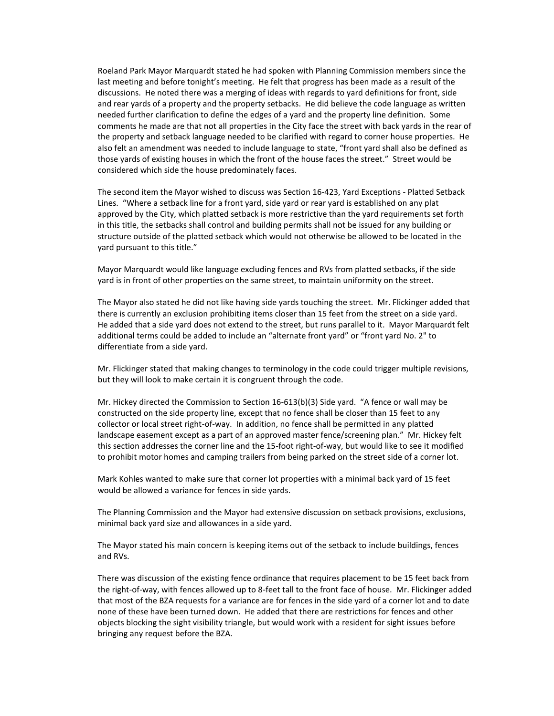Roeland Park Mayor Marquardt stated he had spoken with Planning Commission members since the last meeting and before tonight's meeting. He felt that progress has been made as a result of the discussions. He noted there was a merging of ideas with regards to yard definitions for front, side and rear yards of a property and the property setbacks. He did believe the code language as written needed further clarification to define the edges of a yard and the property line definition. Some comments he made are that not all properties in the City face the street with back yards in the rear of the property and setback language needed to be clarified with regard to corner house properties. He also felt an amendment was needed to include language to state, "front yard shall also be defined as those yards of existing houses in which the front of the house faces the street." Street would be considered which side the house predominately faces.

The second item the Mayor wished to discuss was Section 16-423, Yard Exceptions - Platted Setback Lines. "Where a setback line for a front yard, side yard or rear yard is established on any plat approved by the City, which platted setback is more restrictive than the yard requirements set forth in this title, the setbacks shall control and building permits shall not be issued for any building or structure outside of the platted setback which would not otherwise be allowed to be located in the yard pursuant to this title."

Mayor Marquardt would like language excluding fences and RVs from platted setbacks, if the side yard is in front of other properties on the same street, to maintain uniformity on the street.

The Mayor also stated he did not like having side yards touching the street. Mr. Flickinger added that there is currently an exclusion prohibiting items closer than 15 feet from the street on a side yard. He added that a side yard does not extend to the street, but runs parallel to it. Mayor Marquardt felt additional terms could be added to include an "alternate front yard" or "front yard No. 2" to differentiate from a side yard.

Mr. Flickinger stated that making changes to terminology in the code could trigger multiple revisions, but they will look to make certain it is congruent through the code.

Mr. Hickey directed the Commission to Section 16-613(b)(3) Side yard. "A fence or wall may be constructed on the side property line, except that no fence shall be closer than 15 feet to any collector or local street right-of-way. In addition, no fence shall be permitted in any platted landscape easement except as a part of an approved master fence/screening plan." Mr. Hickey felt this section addresses the corner line and the 15-foot right-of-way, but would like to see it modified to prohibit motor homes and camping trailers from being parked on the street side of a corner lot.

Mark Kohles wanted to make sure that corner lot properties with a minimal back yard of 15 feet would be allowed a variance for fences in side yards.

The Planning Commission and the Mayor had extensive discussion on setback provisions, exclusions, minimal back yard size and allowances in a side yard.

The Mayor stated his main concern is keeping items out of the setback to include buildings, fences and RVs.

There was discussion of the existing fence ordinance that requires placement to be 15 feet back from the right-of-way, with fences allowed up to 8-feet tall to the front face of house. Mr. Flickinger added that most of the BZA requests for a variance are for fences in the side yard of a corner lot and to date none of these have been turned down. He added that there are restrictions for fences and other objects blocking the sight visibility triangle, but would work with a resident for sight issues before bringing any request before the BZA.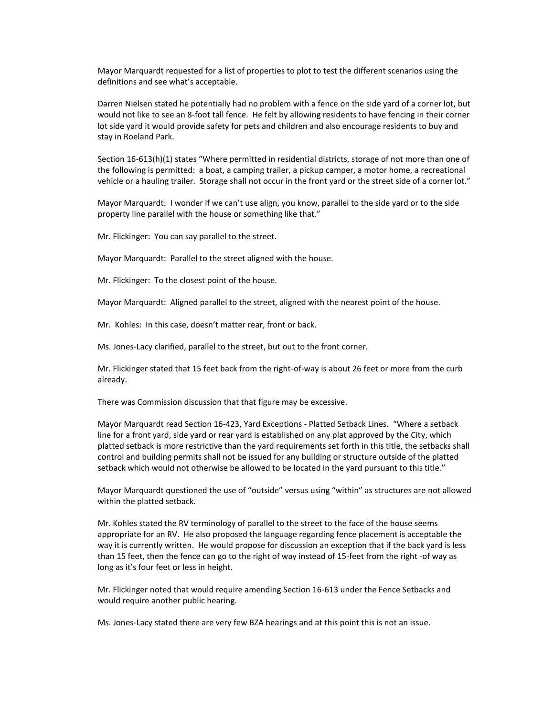Mayor Marquardt requested for a list of properties to plot to test the different scenarios using the definitions and see what's acceptable.

Darren Nielsen stated he potentially had no problem with a fence on the side yard of a corner lot, but would not like to see an 8-foot tall fence. He felt by allowing residents to have fencing in their corner lot side yard it would provide safety for pets and children and also encourage residents to buy and stay in Roeland Park.

Section 16-613(h)(1) states "Where permitted in residential districts, storage of not more than one of the following is permitted: a boat, a camping trailer, a pickup camper, a motor home, a recreational vehicle or a hauling trailer. Storage shall not occur in the front yard or the street side of a corner lot."

Mayor Marquardt: I wonder if we can't use align, you know, parallel to the side yard or to the side property line parallel with the house or something like that."

Mr. Flickinger: You can say parallel to the street.

Mayor Marquardt: Parallel to the street aligned with the house.

Mr. Flickinger: To the closest point of the house.

Mayor Marquardt: Aligned parallel to the street, aligned with the nearest point of the house.

Mr. Kohles: In this case, doesn't matter rear, front or back.

Ms. Jones-Lacy clarified, parallel to the street, but out to the front corner.

Mr. Flickinger stated that 15 feet back from the right-of-way is about 26 feet or more from the curb already.

There was Commission discussion that that figure may be excessive.

Mayor Marquardt read Section 16-423, Yard Exceptions - Platted Setback Lines. "Where a setback line for a front yard, side yard or rear yard is established on any plat approved by the City, which platted setback is more restrictive than the yard requirements set forth in this title, the setbacks shall control and building permits shall not be issued for any building or structure outside of the platted setback which would not otherwise be allowed to be located in the yard pursuant to this title."

Mayor Marquardt questioned the use of "outside" versus using "within" as structures are not allowed within the platted setback.

Mr. Kohles stated the RV terminology of parallel to the street to the face of the house seems appropriate for an RV. He also proposed the language regarding fence placement is acceptable the way it is currently written. He would propose for discussion an exception that if the back yard is less than 15 feet, then the fence can go to the right of way instead of 15-feet from the right -of way as long as it's four feet or less in height.

Mr. Flickinger noted that would require amending Section 16-613 under the Fence Setbacks and would require another public hearing.

Ms. Jones-Lacy stated there are very few BZA hearings and at this point this is not an issue.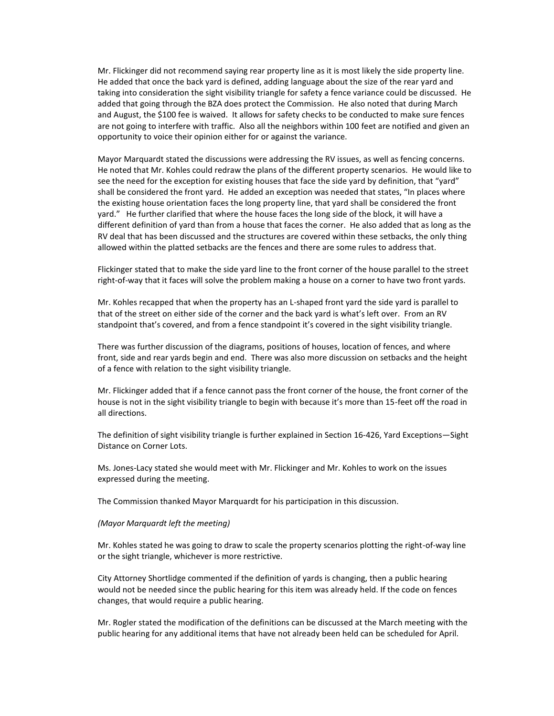Mr. Flickinger did not recommend saying rear property line as it is most likely the side property line. He added that once the back yard is defined, adding language about the size of the rear yard and taking into consideration the sight visibility triangle for safety a fence variance could be discussed. He added that going through the BZA does protect the Commission. He also noted that during March and August, the \$100 fee is waived. It allows for safety checks to be conducted to make sure fences are not going to interfere with traffic. Also all the neighbors within 100 feet are notified and given an opportunity to voice their opinion either for or against the variance.

Mayor Marquardt stated the discussions were addressing the RV issues, as well as fencing concerns. He noted that Mr. Kohles could redraw the plans of the different property scenarios. He would like to see the need for the exception for existing houses that face the side yard by definition, that "yard" shall be considered the front yard. He added an exception was needed that states, "In places where the existing house orientation faces the long property line, that yard shall be considered the front yard." He further clarified that where the house faces the long side of the block, it will have a different definition of yard than from a house that faces the corner. He also added that as long as the RV deal that has been discussed and the structures are covered within these setbacks, the only thing allowed within the platted setbacks are the fences and there are some rules to address that.

Flickinger stated that to make the side yard line to the front corner of the house parallel to the street right-of-way that it faces will solve the problem making a house on a corner to have two front yards.

Mr. Kohles recapped that when the property has an L-shaped front yard the side yard is parallel to that of the street on either side of the corner and the back yard is what's left over. From an RV standpoint that's covered, and from a fence standpoint it's covered in the sight visibility triangle.

There was further discussion of the diagrams, positions of houses, location of fences, and where front, side and rear yards begin and end. There was also more discussion on setbacks and the height of a fence with relation to the sight visibility triangle.

Mr. Flickinger added that if a fence cannot pass the front corner of the house, the front corner of the house is not in the sight visibility triangle to begin with because it's more than 15-feet off the road in all directions.

The definition of sight visibility triangle is further explained in Section 16-426, Yard Exceptions—Sight Distance on Corner Lots.

Ms. Jones-Lacy stated she would meet with Mr. Flickinger and Mr. Kohles to work on the issues expressed during the meeting.

The Commission thanked Mayor Marquardt for his participation in this discussion.

#### *(Mayor Marquardt left the meeting)*

Mr. Kohles stated he was going to draw to scale the property scenarios plotting the right-of-way line or the sight triangle, whichever is more restrictive.

City Attorney Shortlidge commented if the definition of yards is changing, then a public hearing would not be needed since the public hearing for this item was already held. If the code on fences changes, that would require a public hearing.

Mr. Rogler stated the modification of the definitions can be discussed at the March meeting with the public hearing for any additional items that have not already been held can be scheduled for April.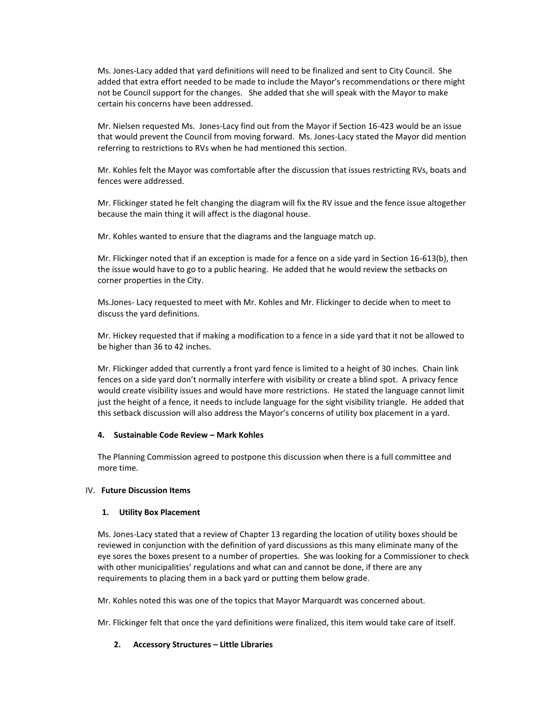Ms. Jones-Lacy added that yard definitions will need to be finalized and sent to City Council. She added that extra effort needed to be made to include the Mayor's recommendations or there might not be Council support for the changes. She added that she will speak with the Mayor to make certain his concerns have been addressed.

Mr. Nielsen requested Ms. Jones-Lacy find out from the Mayor if Section 16-423 would be an issue that would prevent the Council from moving forward. Ms. Jones-Lacy stated the Mayor did mention referring to restrictions to RVs when he had mentioned this section.

Mr. Kohles felt the Mayor was comfortable after the discussion that issues restricting RVs, boats and fences were addressed.

Mr. Flickinger stated he felt changing the diagram will fix the RV issue and the fence issue altogether because the main thing it will affect is the diagonal house.

Mr. Kohles wanted to ensure that the diagrams and the language match up.

Mr. Flickinger noted that if an exception is made for a fence on a side yard in Section 16-613(b), then the issue would have to go to a public hearing. He added that he would review the setbacks on corner properties in the City.

Ms.Jones- Lacy requested to meet with Mr. Kohles and Mr. Flickinger to decide when to meet to discuss the yard definitions.

Mr. Hickey requested that if making a modification to a fence in a side yard that it not be allowed to be higher than 36 to 42 inches.

Mr. Flickinger added that currently a front yard fence is limited to a height of 30 inches. Chain link fences on a side yard don't normally interfere with visibility or create a blind spot. A privacy fence would create visibility issues and would have more restrictions. He stated the language cannot limit just the height of a fence, it needs to include language for the sight visibility triangle. He added that this setback discussion will also address the Mayor's concerns of utility box placement in a yard.

#### **4. Sustainable Code Review – Mark Kohles**

The Planning Commission agreed to postpone this discussion when there is a full committee and more time.

#### IV. **Future Discussion Items**

## **1. Utility Box Placement**

Ms. Jones-Lacy stated that a review of Chapter 13 regarding the location of utility boxes should be reviewed in conjunction with the definition of yard discussions as this many eliminate many of the eye sores the boxes present to a number of properties. She was looking for a Commissioner to check with other municipalities' regulations and what can and cannot be done, if there are any requirements to placing them in a back yard or putting them below grade.

Mr. Kohles noted this was one of the topics that Mayor Marquardt was concerned about.

Mr. Flickinger felt that once the yard definitions were finalized, this item would take care of itself.

## **2. Accessory Structures – Little Libraries**